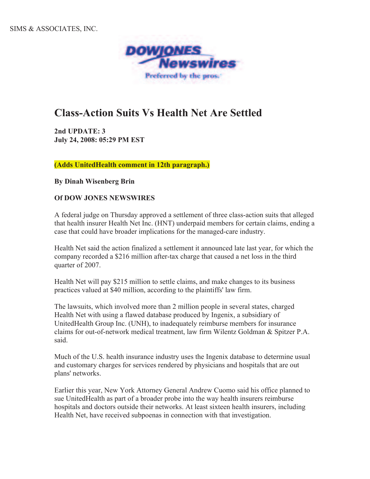

## **Class-Action Suits Vs Health Net Are Settled**

**2nd UPDATE: 3 July 24, 2008: 05:29 PM EST**

**(Adds UnitedHealth comment in 12th paragraph.)** 

**By Dinah Wisenberg Brin**

## **Of DOW JONES NEWSWIRES**

A federal judge on Thursday approved a settlement of three class-action suits that alleged that health insurer Health Net Inc. (HNT) underpaid members for certain claims, ending a case that could have broader implications for the managed-care industry.

Health Net said the action finalized a settlement it announced late last year, for which the company recorded a \$216 million after-tax charge that caused a net loss in the third quarter of 2007.

Health Net will pay \$215 million to settle claims, and make changes to its business practices valued at \$40 million, according to the plaintiffs' law firm.

The lawsuits, which involved more than 2 million people in several states, charged Health Net with using a flawed database produced by Ingenix, a subsidiary of UnitedHealth Group Inc. (UNH), to inadequately reimburse members for insurance claims for out-of-network medical treatment, law firm Wilentz Goldman & Spitzer P.A. said.

Much of the U.S. health insurance industry uses the Ingenix database to determine usual and customary charges for services rendered by physicians and hospitals that are out plans' networks.

Earlier this year, New York Attorney General Andrew Cuomo said his office planned to sue UnitedHealth as part of a broader probe into the way health insurers reimburse hospitals and doctors outside their networks. At least sixteen health insurers, including Health Net, have received subpoenas in connection with that investigation.